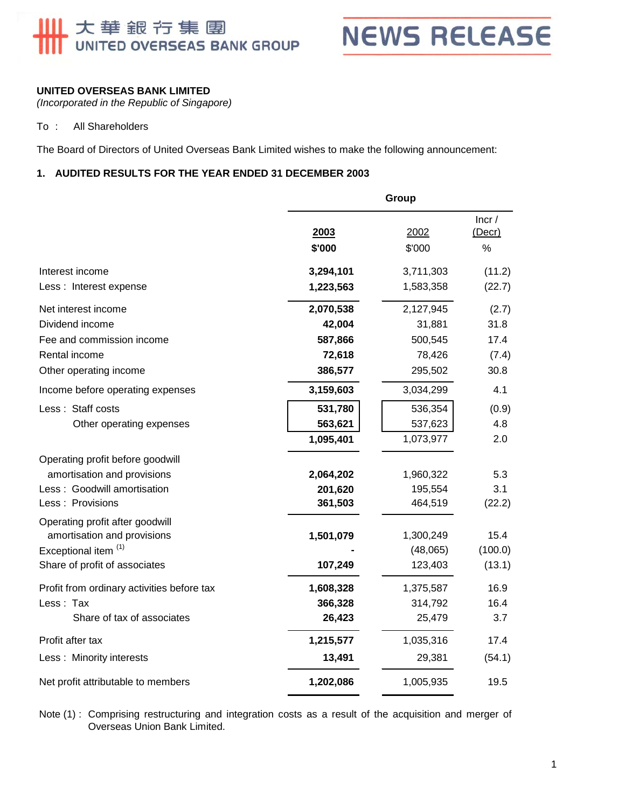# 大華銀行集團<br>UNITED OVERSEAS BANK GROUP

**NEWS RELEASE** 

# **UNITED OVERSEAS BANK LIMITED**

*(Incorporated in the Republic of Singapore)* 

### To : All Shareholders

The Board of Directors of United Overseas Bank Limited wishes to make the following announcement:

#### **1. AUDITED RESULTS FOR THE YEAR ENDED 31 DECEMBER 2003**

|                                            | Group     |           |                 |
|--------------------------------------------|-----------|-----------|-----------------|
|                                            | 2003      | 2002      | Incr/<br>(Decr) |
|                                            | \$'000    | \$'000    | %               |
| Interest income                            | 3,294,101 | 3,711,303 | (11.2)          |
| Less : Interest expense                    | 1,223,563 | 1,583,358 | (22.7)          |
| Net interest income                        | 2,070,538 | 2,127,945 | (2.7)           |
| Dividend income                            | 42,004    | 31,881    | 31.8            |
| Fee and commission income                  | 587,866   | 500,545   | 17.4            |
| Rental income                              | 72,618    | 78,426    | (7.4)           |
| Other operating income                     | 386,577   | 295,502   | 30.8            |
| Income before operating expenses           | 3,159,603 | 3,034,299 | 4.1             |
| Less: Staff costs                          | 531,780   | 536,354   | (0.9)           |
| Other operating expenses                   | 563,621   | 537,623   | 4.8             |
|                                            | 1,095,401 | 1,073,977 | 2.0             |
| Operating profit before goodwill           |           |           |                 |
| amortisation and provisions                | 2,064,202 | 1,960,322 | 5.3             |
| Less: Goodwill amortisation                | 201,620   | 195,554   | 3.1             |
| Less : Provisions                          | 361,503   | 464,519   | (22.2)          |
| Operating profit after goodwill            |           |           |                 |
| amortisation and provisions                | 1,501,079 | 1,300,249 | 15.4            |
| Exceptional item <sup>(1)</sup>            |           | (48,065)  | (100.0)         |
| Share of profit of associates              | 107,249   | 123,403   | (13.1)          |
| Profit from ordinary activities before tax | 1,608,328 | 1,375,587 | 16.9            |
| Less: Tax                                  | 366,328   | 314,792   | 16.4            |
| Share of tax of associates                 | 26,423    | 25,479    | 3.7             |
| Profit after tax                           | 1,215,577 | 1,035,316 | 17.4            |
| Less: Minority interests                   | 13,491    | 29,381    | (54.1)          |
| Net profit attributable to members         | 1,202,086 | 1,005,935 | 19.5            |

Note (1) : Comprising restructuring and integration costs as a result of the acquisition and merger of Overseas Union Bank Limited.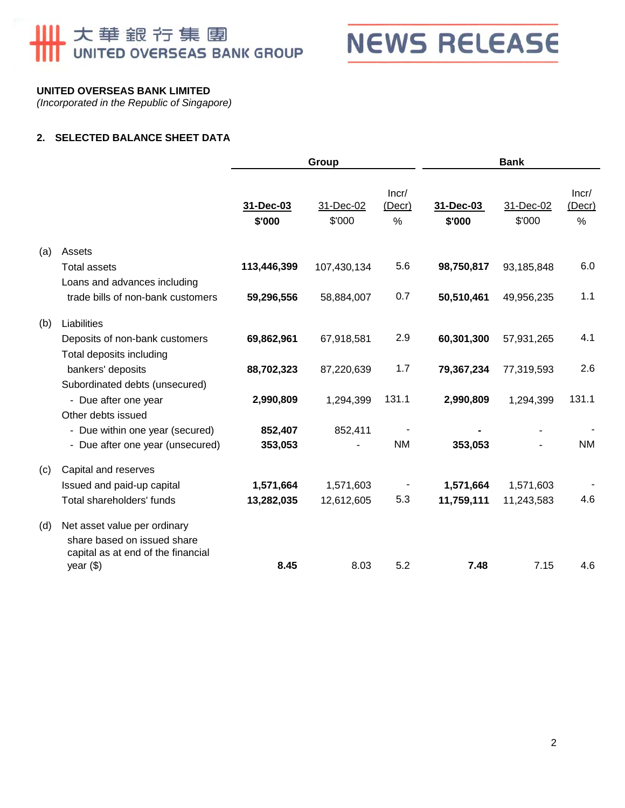# **Ⅲ 大華銀行集團**



# **UNITED OVERSEAS BANK LIMITED**

*(Incorporated in the Republic of Singapore)* 

## **2. SELECTED BALANCE SHEET DATA**

|     |                                                                                                   | Group               |                     | <b>Bank</b>          |                     |                     |                         |
|-----|---------------------------------------------------------------------------------------------------|---------------------|---------------------|----------------------|---------------------|---------------------|-------------------------|
|     |                                                                                                   | 31-Dec-03<br>\$'000 | 31-Dec-02<br>\$'000 | Incr/<br>(Decr)<br>% | 31-Dec-03<br>\$'000 | 31-Dec-02<br>\$'000 | Incr/<br>(Decr)<br>$\%$ |
| (a) | Assets                                                                                            |                     |                     |                      |                     |                     |                         |
|     | <b>Total assets</b>                                                                               | 113,446,399         | 107,430,134         | 5.6                  | 98,750,817          | 93,185,848          | 6.0                     |
|     | Loans and advances including                                                                      |                     |                     |                      |                     |                     |                         |
|     | trade bills of non-bank customers                                                                 | 59,296,556          | 58,884,007          | 0.7                  | 50,510,461          | 49,956,235          | 1.1                     |
| (b) | Liabilities                                                                                       |                     |                     |                      |                     |                     |                         |
|     | Deposits of non-bank customers                                                                    | 69,862,961          | 67,918,581          | 2.9                  | 60,301,300          | 57,931,265          | 4.1                     |
|     | Total deposits including                                                                          |                     |                     |                      |                     |                     |                         |
|     | bankers' deposits                                                                                 | 88,702,323          | 87,220,639          | 1.7                  | 79,367,234          | 77,319,593          | 2.6                     |
|     | Subordinated debts (unsecured)                                                                    |                     |                     |                      |                     |                     |                         |
|     | - Due after one year                                                                              | 2,990,809           | 1,294,399           | 131.1                | 2,990,809           | 1,294,399           | 131.1                   |
|     | Other debts issued                                                                                |                     |                     |                      |                     |                     |                         |
|     | - Due within one year (secured)                                                                   | 852,407             | 852,411             |                      |                     |                     |                         |
|     | - Due after one year (unsecured)                                                                  | 353,053             |                     | <b>NM</b>            | 353,053             |                     | <b>NM</b>               |
| (c) | Capital and reserves                                                                              |                     |                     |                      |                     |                     |                         |
|     | Issued and paid-up capital                                                                        | 1,571,664           | 1,571,603           |                      | 1,571,664           | 1,571,603           |                         |
|     | Total shareholders' funds                                                                         | 13,282,035          | 12,612,605          | 5.3                  | 11,759,111          | 11,243,583          | 4.6                     |
| (d) | Net asset value per ordinary<br>share based on issued share<br>capital as at end of the financial |                     |                     |                      |                     |                     |                         |
|     | year $(\$)$                                                                                       | 8.45                | 8.03                | 5.2                  | 7.48                | 7.15                | 4.6                     |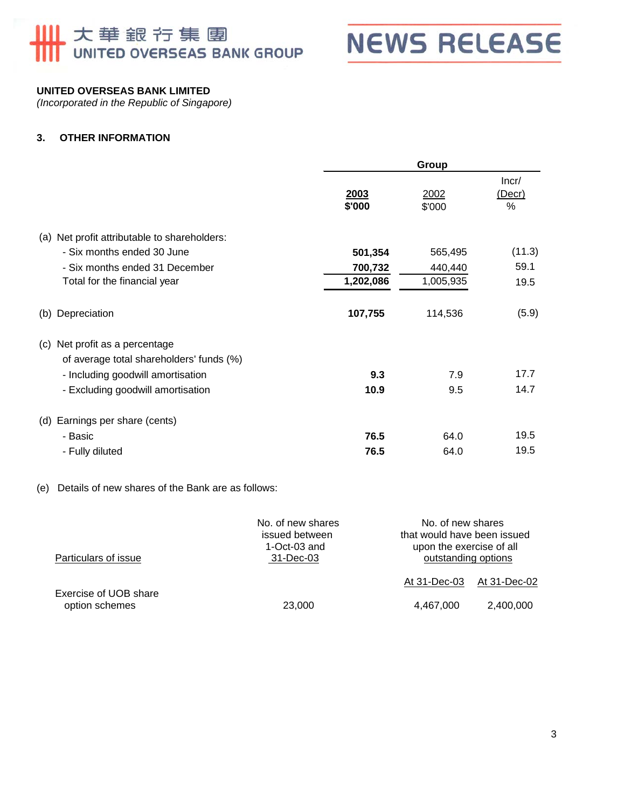# ■大華銀节集團<br>■ UNITED OVERSEAS BANK GROUP



# **UNITED OVERSEAS BANK LIMITED**

*(Incorporated in the Republic of Singapore)* 

## **3. OTHER INFORMATION**

|                                                                               |                | Group          |                      |  |
|-------------------------------------------------------------------------------|----------------|----------------|----------------------|--|
|                                                                               | 2003<br>\$'000 | 2002<br>\$'000 | Incr/<br>(Decr)<br>% |  |
| (a) Net profit attributable to shareholders:                                  |                |                |                      |  |
| - Six months ended 30 June                                                    | 501,354        | 565,495        | (11.3)               |  |
| - Six months ended 31 December                                                | 700,732        | 440,440        | 59.1                 |  |
| Total for the financial year                                                  | 1,202,086      | 1,005,935      | 19.5                 |  |
| (b) Depreciation                                                              | 107,755        | 114,536        | (5.9)                |  |
| Net profit as a percentage<br>(c)<br>of average total shareholders' funds (%) |                |                |                      |  |
| - Including goodwill amortisation                                             | 9.3            | 7.9            | 17.7                 |  |
| - Excluding goodwill amortisation                                             | 10.9           | 9.5            | 14.7                 |  |
| (d) Earnings per share (cents)                                                |                |                |                      |  |
| - Basic                                                                       | 76.5           | 64.0           | 19.5                 |  |
| - Fully diluted                                                               | 76.5           | 64.0           | 19.5                 |  |

### (e) Details of new shares of the Bank are as follows:

| Particulars of issue                    | No. of new shares<br>issued between<br>1-Oct-03 and<br>31-Dec-03 |              | No. of new shares<br>that would have been issued<br>upon the exercise of all<br>outstanding options |  |
|-----------------------------------------|------------------------------------------------------------------|--------------|-----------------------------------------------------------------------------------------------------|--|
|                                         |                                                                  | At 31-Dec-03 | At 31-Dec-02                                                                                        |  |
| Exercise of UOB share<br>option schemes | 23,000                                                           | 4,467,000    | 2,400,000                                                                                           |  |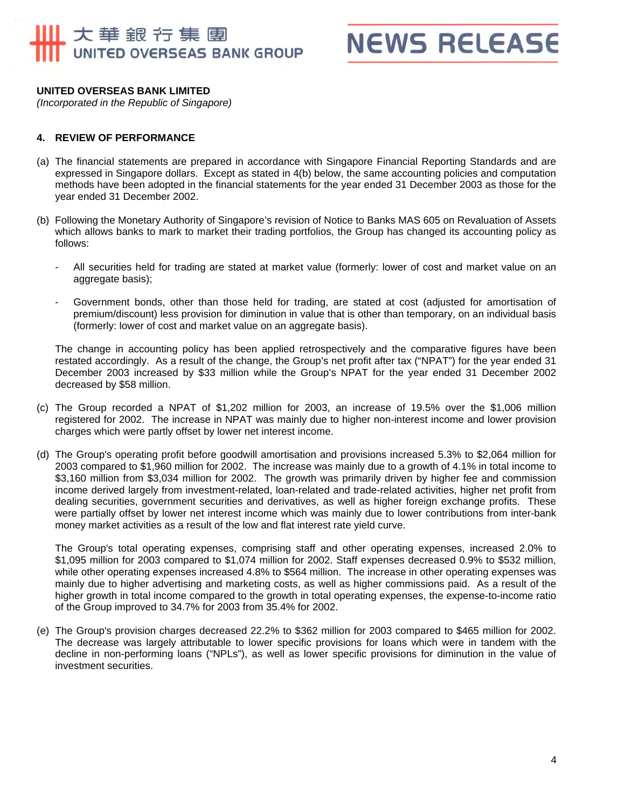# 大華銀行集團 UNITED OVERSEAS BANK GROUP

**NEWS RELEASE** 

#### **UNITED OVERSEAS BANK LIMITED**

*(Incorporated in the Republic of Singapore)* 

#### **4. REVIEW OF PERFORMANCE**

- (a) The financial statements are prepared in accordance with Singapore Financial Reporting Standards and are expressed in Singapore dollars. Except as stated in 4(b) below, the same accounting policies and computation methods have been adopted in the financial statements for the year ended 31 December 2003 as those for the year ended 31 December 2002.
- (b) Following the Monetary Authority of Singapore's revision of Notice to Banks MAS 605 on Revaluation of Assets which allows banks to mark to market their trading portfolios, the Group has changed its accounting policy as follows:
	- All securities held for trading are stated at market value (formerly: lower of cost and market value on an aggregate basis);
	- Government bonds, other than those held for trading, are stated at cost (adjusted for amortisation of premium/discount) less provision for diminution in value that is other than temporary, on an individual basis (formerly: lower of cost and market value on an aggregate basis).

The change in accounting policy has been applied retrospectively and the comparative figures have been restated accordingly. As a result of the change, the Group's net profit after tax ("NPAT") for the year ended 31 December 2003 increased by \$33 million while the Group's NPAT for the year ended 31 December 2002 decreased by \$58 million.

- (c) The Group recorded a NPAT of \$1,202 million for 2003, an increase of 19.5% over the \$1,006 million registered for 2002. The increase in NPAT was mainly due to higher non-interest income and lower provision charges which were partly offset by lower net interest income.
- (d) The Group's operating profit before goodwill amortisation and provisions increased 5.3% to \$2,064 million for 2003 compared to \$1,960 million for 2002. The increase was mainly due to a growth of 4.1% in total income to \$3,160 million from \$3,034 million for 2002. The growth was primarily driven by higher fee and commission income derived largely from investment-related, loan-related and trade-related activities, higher net profit from dealing securities, government securities and derivatives, as well as higher foreign exchange profits. These were partially offset by lower net interest income which was mainly due to lower contributions from inter-bank money market activities as a result of the low and flat interest rate yield curve.

The Group's total operating expenses, comprising staff and other operating expenses, increased 2.0% to \$1,095 million for 2003 compared to \$1,074 million for 2002. Staff expenses decreased 0.9% to \$532 million, while other operating expenses increased 4.8% to \$564 million. The increase in other operating expenses was mainly due to higher advertising and marketing costs, as well as higher commissions paid. As a result of the higher growth in total income compared to the growth in total operating expenses, the expense-to-income ratio of the Group improved to 34.7% for 2003 from 35.4% for 2002.

(e) The Group's provision charges decreased 22.2% to \$362 million for 2003 compared to \$465 million for 2002. The decrease was largely attributable to lower specific provisions for loans which were in tandem with the decline in non-performing loans ("NPLs"), as well as lower specific provisions for diminution in the value of investment securities.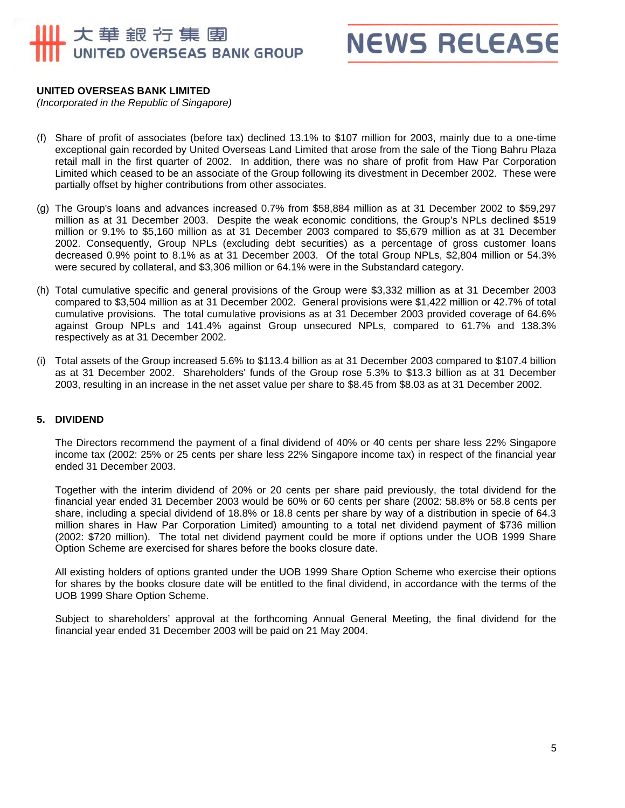# 大華銀行集團 UNITED OVERSEAS BANK GROUP

**NEWS RELEASE** 

### **UNITED OVERSEAS BANK LIMITED**

*(Incorporated in the Republic of Singapore)* 

- (f) Share of profit of associates (before tax) declined 13.1% to \$107 million for 2003, mainly due to a one-time exceptional gain recorded by United Overseas Land Limited that arose from the sale of the Tiong Bahru Plaza retail mall in the first quarter of 2002. In addition, there was no share of profit from Haw Par Corporation Limited which ceased to be an associate of the Group following its divestment in December 2002. These were partially offset by higher contributions from other associates.
- (g) The Group's loans and advances increased 0.7% from \$58,884 million as at 31 December 2002 to \$59,297 million as at 31 December 2003. Despite the weak economic conditions, the Group's NPLs declined \$519 million or 9.1% to \$5,160 million as at 31 December 2003 compared to \$5,679 million as at 31 December 2002. Consequently, Group NPLs (excluding debt securities) as a percentage of gross customer loans decreased 0.9% point to 8.1% as at 31 December 2003. Of the total Group NPLs, \$2,804 million or 54.3% were secured by collateral, and \$3,306 million or 64.1% were in the Substandard category.
- (h) Total cumulative specific and general provisions of the Group were \$3,332 million as at 31 December 2003 compared to \$3,504 million as at 31 December 2002. General provisions were \$1,422 million or 42.7% of total cumulative provisions. The total cumulative provisions as at 31 December 2003 provided coverage of 64.6% against Group NPLs and 141.4% against Group unsecured NPLs, compared to 61.7% and 138.3% respectively as at 31 December 2002.
- (i) Total assets of the Group increased 5.6% to \$113.4 billion as at 31 December 2003 compared to \$107.4 billion as at 31 December 2002. Shareholders' funds of the Group rose 5.3% to \$13.3 billion as at 31 December 2003, resulting in an increase in the net asset value per share to \$8.45 from \$8.03 as at 31 December 2002.

### **5. DIVIDEND**

The Directors recommend the payment of a final dividend of 40% or 40 cents per share less 22% Singapore income tax (2002: 25% or 25 cents per share less 22% Singapore income tax) in respect of the financial year ended 31 December 2003.

Together with the interim dividend of 20% or 20 cents per share paid previously, the total dividend for the financial year ended 31 December 2003 would be 60% or 60 cents per share (2002: 58.8% or 58.8 cents per share, including a special dividend of 18.8% or 18.8 cents per share by way of a distribution in specie of 64.3 million shares in Haw Par Corporation Limited) amounting to a total net dividend payment of \$736 million (2002: \$720 million). The total net dividend payment could be more if options under the UOB 1999 Share Option Scheme are exercised for shares before the books closure date.

All existing holders of options granted under the UOB 1999 Share Option Scheme who exercise their options for shares by the books closure date will be entitled to the final dividend, in accordance with the terms of the UOB 1999 Share Option Scheme.

Subject to shareholders' approval at the forthcoming Annual General Meeting, the final dividend for the financial year ended 31 December 2003 will be paid on 21 May 2004.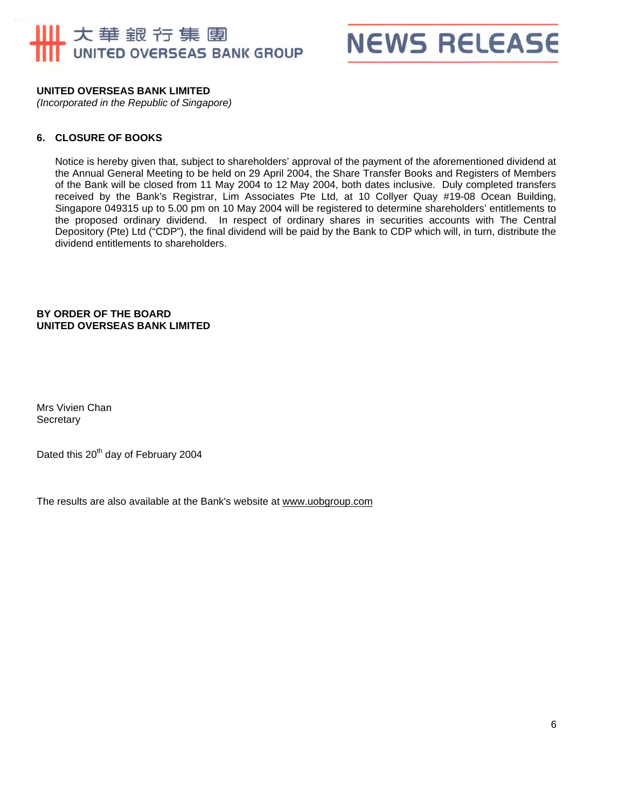# 大華銀行集團 UNITED OVERSEAS BANK GROUP



## **UNITED OVERSEAS BANK LIMITED**

*(Incorporated in the Republic of Singapore)* 

#### **6. CLOSURE OF BOOKS**

Notice is hereby given that, subject to shareholders' approval of the payment of the aforementioned dividend at the Annual General Meeting to be held on 29 April 2004, the Share Transfer Books and Registers of Members of the Bank will be closed from 11 May 2004 to 12 May 2004, both dates inclusive. Duly completed transfers received by the Bank's Registrar, Lim Associates Pte Ltd, at 10 Collyer Quay #19-08 Ocean Building, Singapore 049315 up to 5.00 pm on 10 May 2004 will be registered to determine shareholders' entitlements to the proposed ordinary dividend. In respect of ordinary shares in securities accounts with The Central Depository (Pte) Ltd ("CDP"), the final dividend will be paid by the Bank to CDP which will, in turn, distribute the dividend entitlements to shareholders.

#### **BY ORDER OF THE BOARD UNITED OVERSEAS BANK LIMITED**

Mrs Vivien Chan **Secretary** 

Dated this 20<sup>th</sup> day of February 2004

The results are also available at the Bank's website at www.uobgroup.com